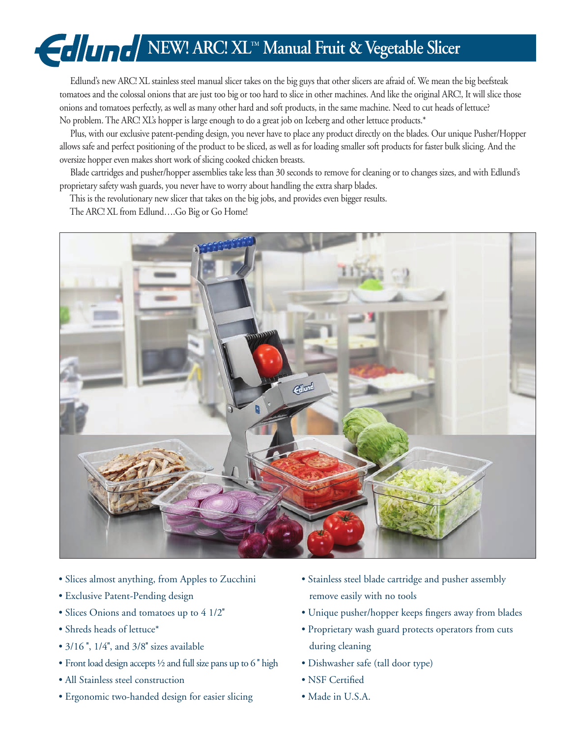# **NEW! ARC! XL<sup>TM</sup> Manual Fruit & Vegetable Slicer**

 Edlund's new ARC! XL stainless steel manual slicer takes on the big guys that other slicers are afraid of. We mean the big beefsteak tomatoes and the colossal onions that are just too big or too hard to slice in other machines. And like the original ARC!, It will slice those onions and tomatoes perfectly, as well as many other hard and soft products, in the same machine. Need to cut heads of lettuce? No problem. The ARC! XL's hopper is large enough to do a great job on Iceberg and other lettuce products.\*

 Plus, with our exclusive patent-pending design, you never have to place any product directly on the blades. Our unique Pusher/Hopper allows safe and perfect positioning of the product to be sliced, as well as for loading smaller soft products for faster bulk slicing. And the oversize hopper even makes short work of slicing cooked chicken breasts.

 Blade cartridges and pusher/hopper assemblies take less than 30 seconds to remove for cleaning or to changes sizes, and with Edlund's proprietary safety wash guards, you never have to worry about handling the extra sharp blades.

This is the revolutionary new slicer that takes on the big jobs, and provides even bigger results.

The ARC! XL from Edlund….Go Big or Go Home!



- Slices almost anything, from Apples to Zucchini
- Exclusive Patent-Pending design
- Slices Onions and tomatoes up to 4 1/2''
- Shreds heads of lettuce\*
- 3/16", 1/4", and 3/8" sizes available
- Front load design accepts ½ and full size pans up to 6 '' high
- All Stainless steel construction
- Ergonomic two-handed design for easier slicing
- Stainless steel blade cartridge and pusher assembly remove easily with no tools
- Unique pusher/hopper keeps fingers away from blades
- Proprietary wash guard protects operators from cuts during cleaning
- Dishwasher safe (tall door type)
- NSF Certified
- Made in U.S.A.